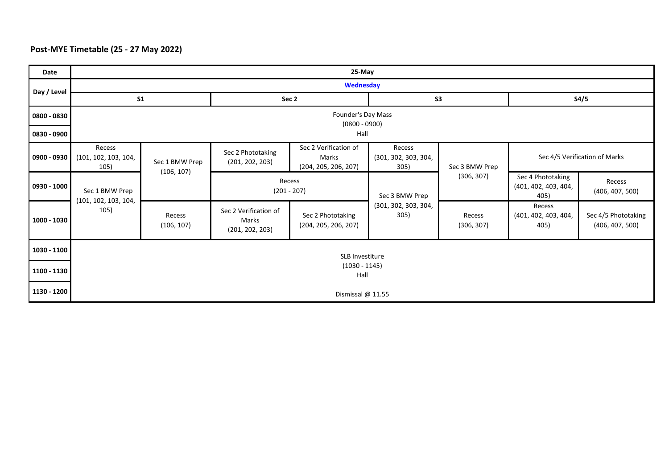## **Post-MYE Timetable (25 - 27 May 2022)**

| Date          | 25-May                                         |                              |                                                   |                                                        |                                        |                      |                                                   |                                        |  |  |
|---------------|------------------------------------------------|------------------------------|---------------------------------------------------|--------------------------------------------------------|----------------------------------------|----------------------|---------------------------------------------------|----------------------------------------|--|--|
| Day / Level   | Wednesday                                      |                              |                                                   |                                                        |                                        |                      |                                                   |                                        |  |  |
|               | S <sub>1</sub>                                 |                              | Sec 2                                             |                                                        | S <sub>3</sub>                         |                      | S4/5                                              |                                        |  |  |
| 0800 - 0830   | Founder's Day Mass<br>$(0800 - 0900)$          |                              |                                                   |                                                        |                                        |                      |                                                   |                                        |  |  |
| 0830 - 0900   | Hall                                           |                              |                                                   |                                                        |                                        |                      |                                                   |                                        |  |  |
| 0900 - 0930   | Recess<br>(101, 102, 103, 104,<br>105)         | Sec 1 BMW Prep<br>(106, 107) | Sec 2 Phototaking<br>(201, 202, 203)              | Sec 2 Verification of<br>Marks<br>(204, 205, 206, 207) | Recess<br>(301, 302, 303, 304,<br>305) | Sec 3 BMW Prep       | Sec 4/5 Verification of Marks                     |                                        |  |  |
| 0930 - 1000   | Sec 1 BMW Prep<br>(101, 102, 103, 104,<br>105) |                              | Recess<br>$(201 - 207)$                           |                                                        | Sec 3 BMW Prep                         | (306, 307)           | Sec 4 Phototaking<br>(401, 402, 403, 404,<br>405) | Recess<br>(406, 407, 500)              |  |  |
| $1000 - 1030$ |                                                | Recess<br>(106, 107)         | Sec 2 Verification of<br>Marks<br>(201, 202, 203) | Sec 2 Phototaking<br>(204, 205, 206, 207)              | (301, 302, 303, 304,<br>305)           | Recess<br>(306, 307) | Recess<br>(401, 402, 403, 404,<br>405)            | Sec 4/5 Phototaking<br>(406, 407, 500) |  |  |
| 1030 - 1100   |                                                |                              |                                                   | SLB Investiture                                        |                                        |                      |                                                   |                                        |  |  |
| 1100 - 1130   | $(1030 - 1145)$<br>Hall                        |                              |                                                   |                                                        |                                        |                      |                                                   |                                        |  |  |
| 1130 - 1200   | Dismissal @ 11.55                              |                              |                                                   |                                                        |                                        |                      |                                                   |                                        |  |  |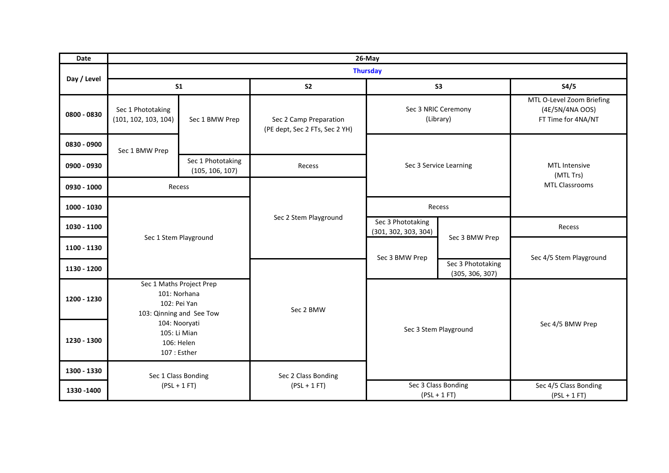| <b>Date</b> | 26-May                                                      |                                                                                      |                                                          |                                           |                                      |                                                                    |  |  |  |
|-------------|-------------------------------------------------------------|--------------------------------------------------------------------------------------|----------------------------------------------------------|-------------------------------------------|--------------------------------------|--------------------------------------------------------------------|--|--|--|
|             | <b>Thursday</b>                                             |                                                                                      |                                                          |                                           |                                      |                                                                    |  |  |  |
| Day / Level |                                                             | S <sub>1</sub>                                                                       | S <sub>2</sub>                                           | S <sub>3</sub>                            |                                      | S4/5                                                               |  |  |  |
| 0800 - 0830 | Sec 1 Phototaking<br>(101, 102, 103, 104)<br>Sec 1 BMW Prep |                                                                                      | Sec 2 Camp Preparation<br>(PE dept, Sec 2 FTs, Sec 2 YH) | Sec 3 NRIC Ceremony<br>(Library)          |                                      | MTL O-Level Zoom Briefing<br>(4E/5N/4NA OOS)<br>FT Time for 4NA/NT |  |  |  |
| 0830 - 0900 | Sec 1 BMW Prep                                              |                                                                                      |                                                          | Sec 3 Service Learning                    |                                      | MTL Intensive<br>(MTL Trs)<br><b>MTL Classrooms</b>                |  |  |  |
| 0900 - 0930 |                                                             | Sec 1 Phototaking<br>(105, 106, 107)                                                 | Recess                                                   |                                           |                                      |                                                                    |  |  |  |
| 0930 - 1000 |                                                             | Recess                                                                               |                                                          |                                           |                                      |                                                                    |  |  |  |
| 1000 - 1030 |                                                             |                                                                                      |                                                          | Recess                                    |                                      |                                                                    |  |  |  |
| 1030 - 1100 | Sec 1 Stem Playground                                       |                                                                                      | Sec 2 Stem Playground                                    | Sec 3 Phototaking<br>(301, 302, 303, 304) |                                      | Recess                                                             |  |  |  |
| 1100 - 1130 |                                                             |                                                                                      |                                                          | Sec 3 BMW Prep                            | Sec 3 BMW Prep                       |                                                                    |  |  |  |
| 1130 - 1200 |                                                             |                                                                                      |                                                          |                                           | Sec 3 Phototaking<br>(305, 306, 307) | Sec 4/5 Stem Playground                                            |  |  |  |
| 1200 - 1230 |                                                             | Sec 1 Maths Project Prep<br>101: Norhana<br>102: Pei Yan<br>103: Qinning and See Tow | Sec 2 BMW                                                | Sec 3 Stem Playground                     |                                      |                                                                    |  |  |  |
| 1230 - 1300 |                                                             | 104: Nooryati<br>105: Li Mian<br>106: Helen<br>107 : Esther                          |                                                          |                                           |                                      | Sec 4/5 BMW Prep                                                   |  |  |  |
| 1300 - 1330 | Sec 1 Class Bonding<br>$(PSL + 1 FT)$                       |                                                                                      | Sec 2 Class Bonding                                      |                                           |                                      |                                                                    |  |  |  |
| 1330 - 1400 |                                                             |                                                                                      | $(PSL + 1 FT)$                                           | Sec 3 Class Bonding<br>$(PSL + 1 FT)$     |                                      | Sec 4/5 Class Bonding<br>$(PSL + 1 FT)$                            |  |  |  |